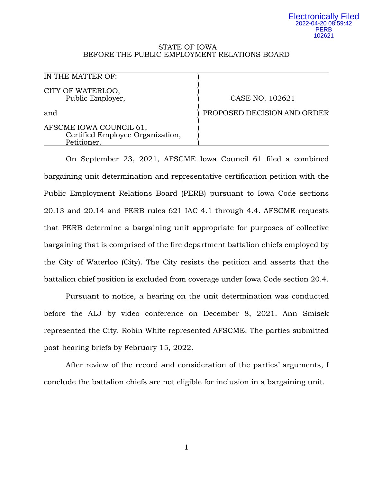#### Electronically Filed 2022-04-20 08:59:42 PERB 102621

#### STATE OF IOWA BEFORE THE PUBLIC EMPLOYMENT RELATIONS BOARD

| IN THE MATTER OF:                                                          |                             |
|----------------------------------------------------------------------------|-----------------------------|
| CITY OF WATERLOO,<br>Public Employer,                                      | CASE NO. 102621             |
| and                                                                        | PROPOSED DECISION AND ORDER |
| AFSCME IOWA COUNCIL 61,<br>Certified Employee Organization,<br>Petitioner. |                             |

On September 23, 2021, AFSCME Iowa Council 61 filed a combined bargaining unit determination and representative certification petition with the Public Employment Relations Board (PERB) pursuant to Iowa Code sections 20.13 and 20.14 and PERB rules 621 IAC 4.1 through 4.4. AFSCME requests that PERB determine a bargaining unit appropriate for purposes of collective bargaining that is comprised of the fire department battalion chiefs employed by the City of Waterloo (City). The City resists the petition and asserts that the battalion chief position is excluded from coverage under Iowa Code section 20.4.

Pursuant to notice, a hearing on the unit determination was conducted before the ALJ by video conference on December 8, 2021. Ann Smisek represented the City. Robin White represented AFSCME. The parties submitted post-hearing briefs by February 15, 2022.

After review of the record and consideration of the parties' arguments, I conclude the battalion chiefs are not eligible for inclusion in a bargaining unit.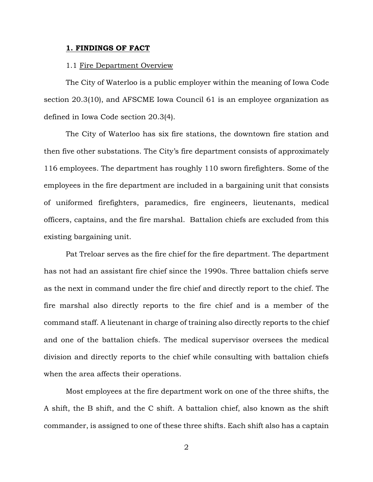#### **1. FINDINGS OF FACT**

### 1.1 Fire Department Overview

The City of Waterloo is a public employer within the meaning of Iowa Code section 20.3(10), and AFSCME Iowa Council 61 is an employee organization as defined in Iowa Code section 20.3(4).

The City of Waterloo has six fire stations, the downtown fire station and then five other substations. The City's fire department consists of approximately 116 employees. The department has roughly 110 sworn firefighters. Some of the employees in the fire department are included in a bargaining unit that consists of uniformed firefighters, paramedics, fire engineers, lieutenants, medical officers, captains, and the fire marshal. Battalion chiefs are excluded from this existing bargaining unit.

Pat Treloar serves as the fire chief for the fire department. The department has not had an assistant fire chief since the 1990s. Three battalion chiefs serve as the next in command under the fire chief and directly report to the chief. The fire marshal also directly reports to the fire chief and is a member of the command staff. A lieutenant in charge of training also directly reports to the chief and one of the battalion chiefs. The medical supervisor oversees the medical division and directly reports to the chief while consulting with battalion chiefs when the area affects their operations.

Most employees at the fire department work on one of the three shifts, the A shift, the B shift, and the C shift. A battalion chief, also known as the shift commander, is assigned to one of these three shifts. Each shift also has a captain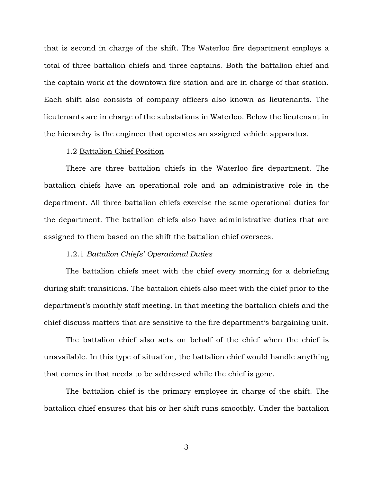that is second in charge of the shift. The Waterloo fire department employs a total of three battalion chiefs and three captains. Both the battalion chief and the captain work at the downtown fire station and are in charge of that station. Each shift also consists of company officers also known as lieutenants. The lieutenants are in charge of the substations in Waterloo. Below the lieutenant in the hierarchy is the engineer that operates an assigned vehicle apparatus.

### 1.2 Battalion Chief Position

There are three battalion chiefs in the Waterloo fire department. The battalion chiefs have an operational role and an administrative role in the department. All three battalion chiefs exercise the same operational duties for the department. The battalion chiefs also have administrative duties that are assigned to them based on the shift the battalion chief oversees.

## 1.2.1 *Battalion Chiefs' Operational Duties*

The battalion chiefs meet with the chief every morning for a debriefing during shift transitions. The battalion chiefs also meet with the chief prior to the department's monthly staff meeting. In that meeting the battalion chiefs and the chief discuss matters that are sensitive to the fire department's bargaining unit.

The battalion chief also acts on behalf of the chief when the chief is unavailable. In this type of situation, the battalion chief would handle anything that comes in that needs to be addressed while the chief is gone.

The battalion chief is the primary employee in charge of the shift. The battalion chief ensures that his or her shift runs smoothly. Under the battalion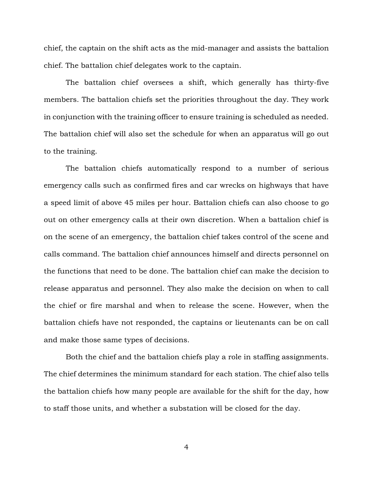chief, the captain on the shift acts as the mid-manager and assists the battalion chief. The battalion chief delegates work to the captain.

The battalion chief oversees a shift, which generally has thirty-five members. The battalion chiefs set the priorities throughout the day. They work in conjunction with the training officer to ensure training is scheduled as needed. The battalion chief will also set the schedule for when an apparatus will go out to the training.

The battalion chiefs automatically respond to a number of serious emergency calls such as confirmed fires and car wrecks on highways that have a speed limit of above 45 miles per hour. Battalion chiefs can also choose to go out on other emergency calls at their own discretion. When a battalion chief is on the scene of an emergency, the battalion chief takes control of the scene and calls command. The battalion chief announces himself and directs personnel on the functions that need to be done. The battalion chief can make the decision to release apparatus and personnel. They also make the decision on when to call the chief or fire marshal and when to release the scene. However, when the battalion chiefs have not responded, the captains or lieutenants can be on call and make those same types of decisions.

Both the chief and the battalion chiefs play a role in staffing assignments. The chief determines the minimum standard for each station. The chief also tells the battalion chiefs how many people are available for the shift for the day, how to staff those units, and whether a substation will be closed for the day.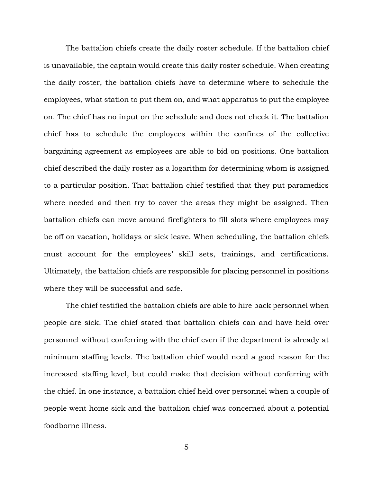The battalion chiefs create the daily roster schedule. If the battalion chief is unavailable, the captain would create this daily roster schedule. When creating the daily roster, the battalion chiefs have to determine where to schedule the employees, what station to put them on, and what apparatus to put the employee on. The chief has no input on the schedule and does not check it. The battalion chief has to schedule the employees within the confines of the collective bargaining agreement as employees are able to bid on positions. One battalion chief described the daily roster as a logarithm for determining whom is assigned to a particular position. That battalion chief testified that they put paramedics where needed and then try to cover the areas they might be assigned. Then battalion chiefs can move around firefighters to fill slots where employees may be off on vacation, holidays or sick leave. When scheduling, the battalion chiefs must account for the employees' skill sets, trainings, and certifications. Ultimately, the battalion chiefs are responsible for placing personnel in positions where they will be successful and safe.

The chief testified the battalion chiefs are able to hire back personnel when people are sick. The chief stated that battalion chiefs can and have held over personnel without conferring with the chief even if the department is already at minimum staffing levels. The battalion chief would need a good reason for the increased staffing level, but could make that decision without conferring with the chief. In one instance, a battalion chief held over personnel when a couple of people went home sick and the battalion chief was concerned about a potential foodborne illness.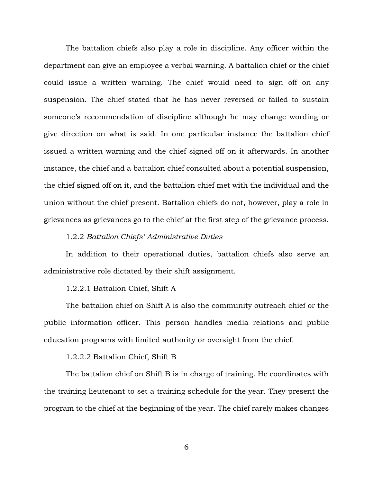The battalion chiefs also play a role in discipline. Any officer within the department can give an employee a verbal warning. A battalion chief or the chief could issue a written warning. The chief would need to sign off on any suspension. The chief stated that he has never reversed or failed to sustain someone's recommendation of discipline although he may change wording or give direction on what is said. In one particular instance the battalion chief issued a written warning and the chief signed off on it afterwards. In another instance, the chief and a battalion chief consulted about a potential suspension, the chief signed off on it, and the battalion chief met with the individual and the union without the chief present. Battalion chiefs do not, however, play a role in grievances as grievances go to the chief at the first step of the grievance process.

## 1.2.2 *Battalion Chiefs' Administrative Duties*

In addition to their operational duties, battalion chiefs also serve an administrative role dictated by their shift assignment.

# 1.2.2.1 Battalion Chief, Shift A

The battalion chief on Shift A is also the community outreach chief or the public information officer. This person handles media relations and public education programs with limited authority or oversight from the chief.

## 1.2.2.2 Battalion Chief, Shift B

The battalion chief on Shift B is in charge of training. He coordinates with the training lieutenant to set a training schedule for the year. They present the program to the chief at the beginning of the year. The chief rarely makes changes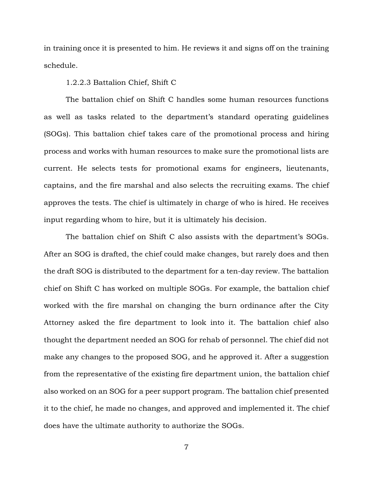in training once it is presented to him. He reviews it and signs off on the training schedule.

### 1.2.2.3 Battalion Chief, Shift C

The battalion chief on Shift C handles some human resources functions as well as tasks related to the department's standard operating guidelines (SOGs). This battalion chief takes care of the promotional process and hiring process and works with human resources to make sure the promotional lists are current. He selects tests for promotional exams for engineers, lieutenants, captains, and the fire marshal and also selects the recruiting exams. The chief approves the tests. The chief is ultimately in charge of who is hired. He receives input regarding whom to hire, but it is ultimately his decision.

The battalion chief on Shift C also assists with the department's SOGs. After an SOG is drafted, the chief could make changes, but rarely does and then the draft SOG is distributed to the department for a ten-day review. The battalion chief on Shift C has worked on multiple SOGs. For example, the battalion chief worked with the fire marshal on changing the burn ordinance after the City Attorney asked the fire department to look into it. The battalion chief also thought the department needed an SOG for rehab of personnel. The chief did not make any changes to the proposed SOG, and he approved it. After a suggestion from the representative of the existing fire department union, the battalion chief also worked on an SOG for a peer support program. The battalion chief presented it to the chief, he made no changes, and approved and implemented it. The chief does have the ultimate authority to authorize the SOGs.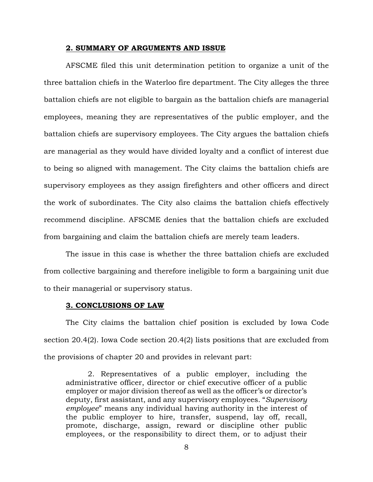#### **2. SUMMARY OF ARGUMENTS AND ISSUE**

AFSCME filed this unit determination petition to organize a unit of the three battalion chiefs in the Waterloo fire department. The City alleges the three battalion chiefs are not eligible to bargain as the battalion chiefs are managerial employees, meaning they are representatives of the public employer, and the battalion chiefs are supervisory employees. The City argues the battalion chiefs are managerial as they would have divided loyalty and a conflict of interest due to being so aligned with management. The City claims the battalion chiefs are supervisory employees as they assign firefighters and other officers and direct the work of subordinates. The City also claims the battalion chiefs effectively recommend discipline. AFSCME denies that the battalion chiefs are excluded from bargaining and claim the battalion chiefs are merely team leaders.

The issue in this case is whether the three battalion chiefs are excluded from collective bargaining and therefore ineligible to form a bargaining unit due to their managerial or supervisory status.

### **3. CONCLUSIONS OF LAW**

The City claims the battalion chief position is excluded by Iowa Code section 20.4(2). Iowa Code section 20.4(2) lists positions that are excluded from the provisions of chapter 20 and provides in relevant part:

2. Representatives of a public employer, including the administrative officer, director or chief executive officer of a public employer or major division thereof as well as the officer's or director's deputy, first assistant, and any supervisory employees. "*Supervisory employee*" means any individual having authority in the interest of the public employer to hire, transfer, suspend, lay off, recall, promote, discharge, assign, reward or discipline other public employees, or the responsibility to direct them, or to adjust their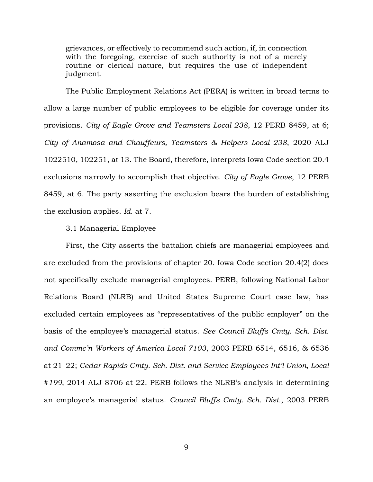grievances, or effectively to recommend such action, if, in connection with the foregoing, exercise of such authority is not of a merely routine or clerical nature, but requires the use of independent judgment.

The Public Employment Relations Act (PERA) is written in broad terms to allow a large number of public employees to be eligible for coverage under its provisions. *City of Eagle Grove and Teamsters Local 238*, 12 PERB 8459, at 6; *City of Anamosa and Chauffeurs, Teamsters & Helpers Local 238*, 2020 ALJ 1022510, 102251, at 13. The Board, therefore, interprets Iowa Code section 20.4 exclusions narrowly to accomplish that objective. *City of Eagle Grove*, 12 PERB 8459, at 6. The party asserting the exclusion bears the burden of establishing the exclusion applies. *Id.* at 7.

## 3.1 Managerial Employee

First, the City asserts the battalion chiefs are managerial employees and are excluded from the provisions of chapter 20. Iowa Code section 20.4(2) does not specifically exclude managerial employees. PERB, following National Labor Relations Board (NLRB) and United States Supreme Court case law, has excluded certain employees as "representatives of the public employer" on the basis of the employee's managerial status. *See Council Bluffs Cmty. Sch. Dist. and Commc'n Workers of America Local 7103*, 2003 PERB 6514, 6516, & 6536 at 21–22; *Cedar Rapids Cmty. Sch. Dist. and Service Employees Int'l Union, Local #199*, 2014 ALJ 8706 at 22. PERB follows the NLRB's analysis in determining an employee's managerial status. *Council Bluffs Cmty. Sch. Dist.*, 2003 PERB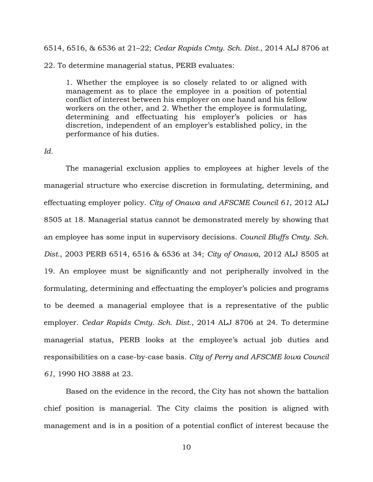6514, 6516, & 6536 at 21–22; *Cedar Rapids Cmty. Sch. Dist.*, 2014 ALJ 8706 at 22. To determine managerial status, PERB evaluates:

1. Whether the employee is so closely related to or aligned with management as to place the employee in a position of potential conflict of interest between his employer on one hand and his fellow workers on the other, and 2. Whether the employee is formulating, determining and effectuating his employer's policies or has discretion, independent of an employer's established policy, in the performance of his duties.

### *Id.*

The managerial exclusion applies to employees at higher levels of the managerial structure who exercise discretion in formulating, determining, and effectuating employer policy. *City of Onawa and AFSCME Council 61*, 2012 ALJ 8505 at 18. Managerial status cannot be demonstrated merely by showing that an employee has some input in supervisory decisions. *Council Bluffs Cmty. Sch. Dist.*, 2003 PERB 6514, 6516 & 6536 at 34; *City of Onawa*, 2012 ALJ 8505 at 19. An employee must be significantly and not peripherally involved in the formulating, determining and effectuating the employer's policies and programs to be deemed a managerial employee that is a representative of the public employer. *Cedar Rapids Cmty. Sch. Dist.*, 2014 ALJ 8706 at 24. To determine managerial status, PERB looks at the employee's actual job duties and responsibilities on a case-by-case basis. *City of Perry and AFSCME Iowa Council 61*, 1990 HO 3888 at 23.

Based on the evidence in the record, the City has not shown the battalion chief position is managerial. The City claims the position is aligned with management and is in a position of a potential conflict of interest because the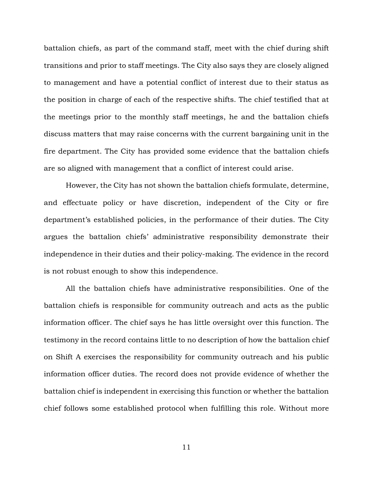battalion chiefs, as part of the command staff, meet with the chief during shift transitions and prior to staff meetings. The City also says they are closely aligned to management and have a potential conflict of interest due to their status as the position in charge of each of the respective shifts. The chief testified that at the meetings prior to the monthly staff meetings, he and the battalion chiefs discuss matters that may raise concerns with the current bargaining unit in the fire department. The City has provided some evidence that the battalion chiefs are so aligned with management that a conflict of interest could arise.

However, the City has not shown the battalion chiefs formulate, determine, and effectuate policy or have discretion, independent of the City or fire department's established policies, in the performance of their duties. The City argues the battalion chiefs' administrative responsibility demonstrate their independence in their duties and their policy-making. The evidence in the record is not robust enough to show this independence.

All the battalion chiefs have administrative responsibilities. One of the battalion chiefs is responsible for community outreach and acts as the public information officer. The chief says he has little oversight over this function. The testimony in the record contains little to no description of how the battalion chief on Shift A exercises the responsibility for community outreach and his public information officer duties. The record does not provide evidence of whether the battalion chief is independent in exercising this function or whether the battalion chief follows some established protocol when fulfilling this role. Without more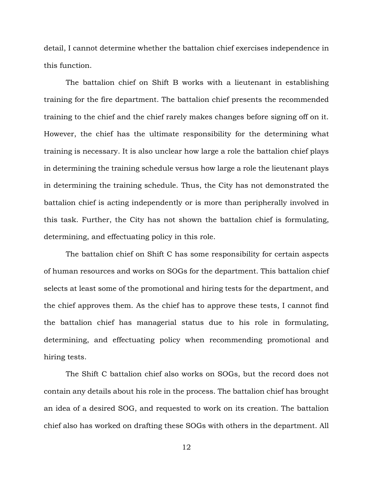detail, I cannot determine whether the battalion chief exercises independence in this function.

The battalion chief on Shift B works with a lieutenant in establishing training for the fire department. The battalion chief presents the recommended training to the chief and the chief rarely makes changes before signing off on it. However, the chief has the ultimate responsibility for the determining what training is necessary. It is also unclear how large a role the battalion chief plays in determining the training schedule versus how large a role the lieutenant plays in determining the training schedule. Thus, the City has not demonstrated the battalion chief is acting independently or is more than peripherally involved in this task. Further, the City has not shown the battalion chief is formulating, determining, and effectuating policy in this role.

The battalion chief on Shift C has some responsibility for certain aspects of human resources and works on SOGs for the department. This battalion chief selects at least some of the promotional and hiring tests for the department, and the chief approves them. As the chief has to approve these tests, I cannot find the battalion chief has managerial status due to his role in formulating, determining, and effectuating policy when recommending promotional and hiring tests.

The Shift C battalion chief also works on SOGs, but the record does not contain any details about his role in the process. The battalion chief has brought an idea of a desired SOG, and requested to work on its creation. The battalion chief also has worked on drafting these SOGs with others in the department. All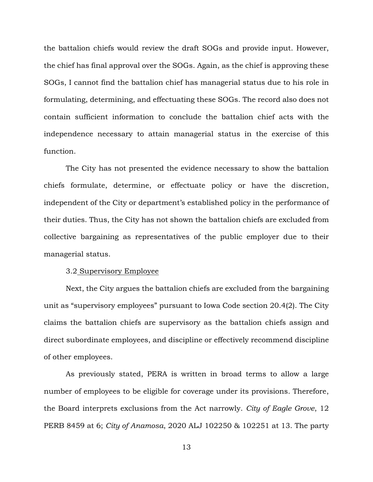the battalion chiefs would review the draft SOGs and provide input. However, the chief has final approval over the SOGs. Again, as the chief is approving these SOGs, I cannot find the battalion chief has managerial status due to his role in formulating, determining, and effectuating these SOGs. The record also does not contain sufficient information to conclude the battalion chief acts with the independence necessary to attain managerial status in the exercise of this function.

The City has not presented the evidence necessary to show the battalion chiefs formulate, determine, or effectuate policy or have the discretion, independent of the City or department's established policy in the performance of their duties. Thus, the City has not shown the battalion chiefs are excluded from collective bargaining as representatives of the public employer due to their managerial status.

## 3.2 Supervisory Employee

Next, the City argues the battalion chiefs are excluded from the bargaining unit as "supervisory employees" pursuant to Iowa Code section 20.4(2). The City claims the battalion chiefs are supervisory as the battalion chiefs assign and direct subordinate employees, and discipline or effectively recommend discipline of other employees.

As previously stated, PERA is written in broad terms to allow a large number of employees to be eligible for coverage under its provisions. Therefore, the Board interprets exclusions from the Act narrowly. *City of Eagle Grove*, 12 PERB 8459 at 6; *City of Anamosa*, 2020 ALJ 102250 & 102251 at 13. The party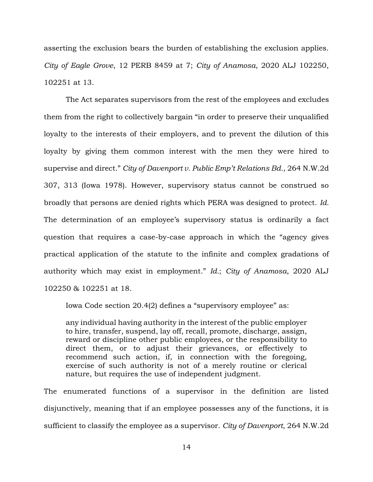asserting the exclusion bears the burden of establishing the exclusion applies. *City of Eagle Grove*, 12 PERB 8459 at 7; *City of Anamosa*, 2020 ALJ 102250, 102251 at 13.

The Act separates supervisors from the rest of the employees and excludes them from the right to collectively bargain "in order to preserve their unqualified loyalty to the interests of their employers, and to prevent the dilution of this loyalty by giving them common interest with the men they were hired to supervise and direct." *City of Davenport v. Public Emp't Relations Bd.*, 264 N.W.2d 307, 313 (Iowa 1978). However, supervisory status cannot be construed so broadly that persons are denied rights which PERA was designed to protect. *Id.* The determination of an employee's supervisory status is ordinarily a fact question that requires a case-by-case approach in which the "agency gives practical application of the statute to the infinite and complex gradations of authority which may exist in employment." *Id.*; *City of Anamosa*, 2020 ALJ 102250 & 102251 at 18.

Iowa Code section 20.4(2) defines a "supervisory employee" as:

any individual having authority in the interest of the public employer to hire, transfer, suspend, lay off, recall, promote, discharge, assign, reward or discipline other public employees, or the responsibility to direct them, or to adjust their grievances, or effectively to recommend such action, if, in connection with the foregoing, exercise of such authority is not of a merely routine or clerical nature, but requires the use of independent judgment.

The enumerated functions of a supervisor in the definition are listed disjunctively, meaning that if an employee possesses any of the functions, it is sufficient to classify the employee as a supervisor. *City of Davenport*, 264 N.W.2d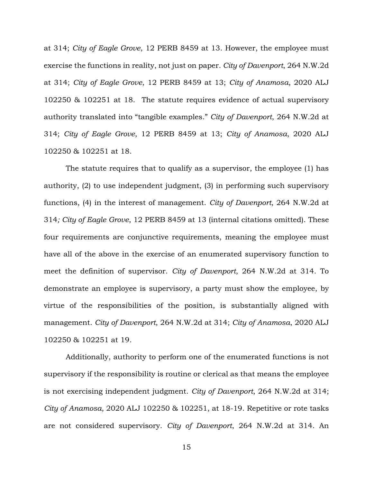at 314; *City of Eagle Grove*, 12 PERB 8459 at 13. However, the employee must exercise the functions in reality, not just on paper. *City of Davenport*, 264 N.W.2d at 314; *City of Eagle Grove*, 12 PERB 8459 at 13; *City of Anamosa*, 2020 ALJ 102250 & 102251 at 18. The statute requires evidence of actual supervisory authority translated into "tangible examples." *City of Davenport*, 264 N.W.2d at 314; *City of Eagle Grove*, 12 PERB 8459 at 13; *City of Anamosa*, 2020 ALJ 102250 & 102251 at 18.

The statute requires that to qualify as a supervisor, the employee (1) has authority, (2) to use independent judgment, (3) in performing such supervisory functions, (4) in the interest of management. *City of Davenport*, 264 N.W.2d at 314*; City of Eagle Grove*, 12 PERB 8459 at 13 (internal citations omitted). These four requirements are conjunctive requirements, meaning the employee must have all of the above in the exercise of an enumerated supervisory function to meet the definition of supervisor. *City of Davenport*, 264 N.W.2d at 314. To demonstrate an employee is supervisory, a party must show the employee, by virtue of the responsibilities of the position, is substantially aligned with management. *City of Davenport*, 264 N.W.2d at 314; *City of Anamosa*, 2020 ALJ 102250 & 102251 at 19.

Additionally, authority to perform one of the enumerated functions is not supervisory if the responsibility is routine or clerical as that means the employee is not exercising independent judgment. *City of Davenport*, 264 N.W.2d at 314; *City of Anamosa*, 2020 ALJ 102250 & 102251, at 18-19. Repetitive or rote tasks are not considered supervisory. *City of Davenport*, 264 N.W.2d at 314. An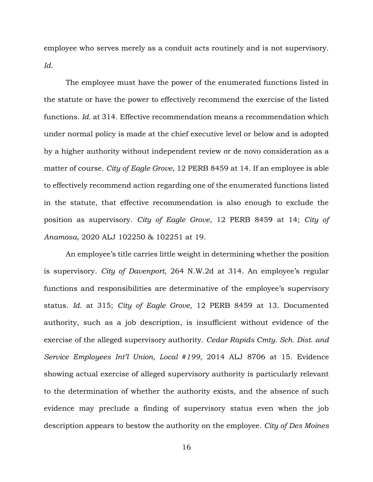employee who serves merely as a conduit acts routinely and is not supervisory. *Id.*

The employee must have the power of the enumerated functions listed in the statute or have the power to effectively recommend the exercise of the listed functions. *Id.* at 314. Effective recommendation means a recommendation which under normal policy is made at the chief executive level or below and is adopted by a higher authority without independent review or de novo consideration as a matter of course. *City of Eagle Grove*, 12 PERB 8459 at 14. If an employee is able to effectively recommend action regarding one of the enumerated functions listed in the statute, that effective recommendation is also enough to exclude the position as supervisory. *City of Eagle Grove*, 12 PERB 8459 at 14; *City of Anamosa*, 2020 ALJ 102250 & 102251 at 19.

An employee's title carries little weight in determining whether the position is supervisory. *City of Davenport*, 264 N.W.2d at 314. An employee's regular functions and responsibilities are determinative of the employee's supervisory status. *Id.* at 315; *City of Eagle Grove*, 12 PERB 8459 at 13. Documented authority, such as a job description, is insufficient without evidence of the exercise of the alleged supervisory authority. *Cedar Rapids Cmty. Sch. Dist. and Service Employees Int'l Union, Local #199*, 2014 ALJ 8706 at 15. Evidence showing actual exercise of alleged supervisory authority is particularly relevant to the determination of whether the authority exists, and the absence of such evidence may preclude a finding of supervisory status even when the job description appears to bestow the authority on the employee. *City of Des Moines*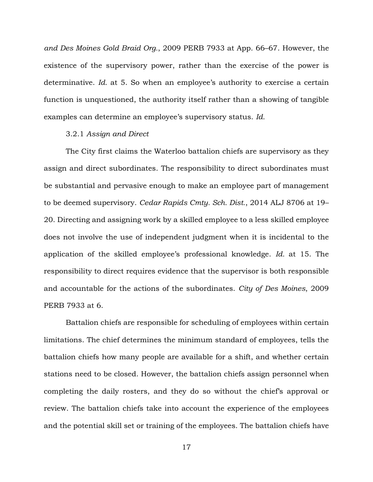*and Des Moines Gold Braid Org.*, 2009 PERB 7933 at App. 66–67. However, the existence of the supervisory power, rather than the exercise of the power is determinative. *Id.* at 5. So when an employee's authority to exercise a certain function is unquestioned, the authority itself rather than a showing of tangible examples can determine an employee's supervisory status. *Id.*

## 3.2.1 *Assign and Direct*

The City first claims the Waterloo battalion chiefs are supervisory as they assign and direct subordinates. The responsibility to direct subordinates must be substantial and pervasive enough to make an employee part of management to be deemed supervisory. *Cedar Rapids Cmty. Sch. Dist.*, 2014 ALJ 8706 at 19– 20. Directing and assigning work by a skilled employee to a less skilled employee does not involve the use of independent judgment when it is incidental to the application of the skilled employee's professional knowledge. *Id.* at 15. The responsibility to direct requires evidence that the supervisor is both responsible and accountable for the actions of the subordinates. *City of Des Moines*, 2009 PERB 7933 at 6.

Battalion chiefs are responsible for scheduling of employees within certain limitations. The chief determines the minimum standard of employees, tells the battalion chiefs how many people are available for a shift, and whether certain stations need to be closed. However, the battalion chiefs assign personnel when completing the daily rosters, and they do so without the chief's approval or review. The battalion chiefs take into account the experience of the employees and the potential skill set or training of the employees. The battalion chiefs have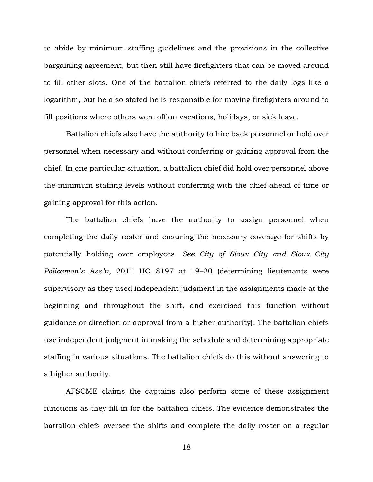to abide by minimum staffing guidelines and the provisions in the collective bargaining agreement, but then still have firefighters that can be moved around to fill other slots. One of the battalion chiefs referred to the daily logs like a logarithm, but he also stated he is responsible for moving firefighters around to fill positions where others were off on vacations, holidays, or sick leave.

Battalion chiefs also have the authority to hire back personnel or hold over personnel when necessary and without conferring or gaining approval from the chief. In one particular situation, a battalion chief did hold over personnel above the minimum staffing levels without conferring with the chief ahead of time or gaining approval for this action.

The battalion chiefs have the authority to assign personnel when completing the daily roster and ensuring the necessary coverage for shifts by potentially holding over employees. *See City of Sioux City and Sioux City Policemen's Ass'n*, 2011 HO 8197 at 19–20 (determining lieutenants were supervisory as they used independent judgment in the assignments made at the beginning and throughout the shift, and exercised this function without guidance or direction or approval from a higher authority). The battalion chiefs use independent judgment in making the schedule and determining appropriate staffing in various situations. The battalion chiefs do this without answering to a higher authority.

AFSCME claims the captains also perform some of these assignment functions as they fill in for the battalion chiefs. The evidence demonstrates the battalion chiefs oversee the shifts and complete the daily roster on a regular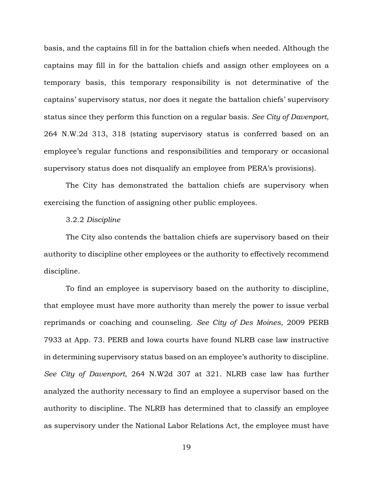basis, and the captains fill in for the battalion chiefs when needed. Although the captains may fill in for the battalion chiefs and assign other employees on a temporary basis, this temporary responsibility is not determinative of the captains' supervisory status, nor does it negate the battalion chiefs' supervisory status since they perform this function on a regular basis. *See City of Davenport*, 264 N.W.2d 313, 318 (stating supervisory status is conferred based on an employee's regular functions and responsibilities and temporary or occasional supervisory status does not disqualify an employee from PERA's provisions).

The City has demonstrated the battalion chiefs are supervisory when exercising the function of assigning other public employees.

## 3.2.2 *Discipline*

The City also contends the battalion chiefs are supervisory based on their authority to discipline other employees or the authority to effectively recommend discipline.

To find an employee is supervisory based on the authority to discipline, that employee must have more authority than merely the power to issue verbal reprimands or coaching and counseling. *See City of Des Moines*, 2009 PERB 7933 at App. 73. PERB and Iowa courts have found NLRB case law instructive in determining supervisory status based on an employee's authority to discipline. *See City of Davenport*, 264 N.W2d 307 at 321. NLRB case law has further analyzed the authority necessary to find an employee a supervisor based on the authority to discipline. The NLRB has determined that to classify an employee as supervisory under the National Labor Relations Act, the employee must have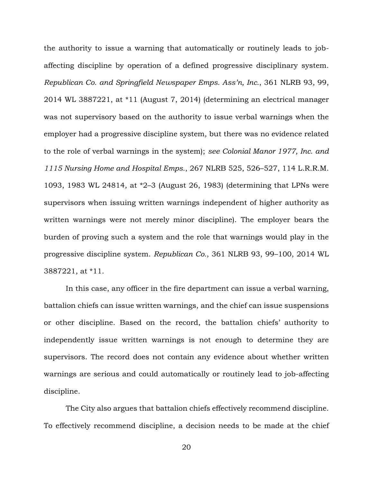the authority to issue a warning that automatically or routinely leads to jobaffecting discipline by operation of a defined progressive disciplinary system. *Republican Co. and Springfield Newspaper Emps. Ass'n, Inc.*, 361 NLRB 93, 99, 2014 WL 3887221, at \*11 (August 7, 2014) (determining an electrical manager was not supervisory based on the authority to issue verbal warnings when the employer had a progressive discipline system, but there was no evidence related to the role of verbal warnings in the system); *see Colonial Manor 1977, Inc. and 1115 Nursing Home and Hospital Emps.*, 267 NLRB 525, 526–527, 114 L.R.R.M. 1093, 1983 WL 24814, at \*2–3 (August 26, 1983) (determining that LPNs were supervisors when issuing written warnings independent of higher authority as written warnings were not merely minor discipline). The employer bears the burden of proving such a system and the role that warnings would play in the progressive discipline system. *Republican Co.*, 361 NLRB 93, 99–100, 2014 WL 3887221, at \*11.

In this case, any officer in the fire department can issue a verbal warning, battalion chiefs can issue written warnings, and the chief can issue suspensions or other discipline. Based on the record, the battalion chiefs' authority to independently issue written warnings is not enough to determine they are supervisors. The record does not contain any evidence about whether written warnings are serious and could automatically or routinely lead to job-affecting discipline.

The City also argues that battalion chiefs effectively recommend discipline. To effectively recommend discipline, a decision needs to be made at the chief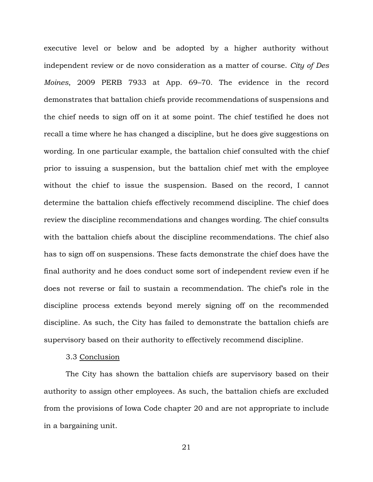executive level or below and be adopted by a higher authority without independent review or de novo consideration as a matter of course. *City of Des Moines*, 2009 PERB 7933 at App. 69–70. The evidence in the record demonstrates that battalion chiefs provide recommendations of suspensions and the chief needs to sign off on it at some point. The chief testified he does not recall a time where he has changed a discipline, but he does give suggestions on wording. In one particular example, the battalion chief consulted with the chief prior to issuing a suspension, but the battalion chief met with the employee without the chief to issue the suspension. Based on the record, I cannot determine the battalion chiefs effectively recommend discipline. The chief does review the discipline recommendations and changes wording. The chief consults with the battalion chiefs about the discipline recommendations. The chief also has to sign off on suspensions. These facts demonstrate the chief does have the final authority and he does conduct some sort of independent review even if he does not reverse or fail to sustain a recommendation. The chief's role in the discipline process extends beyond merely signing off on the recommended discipline. As such, the City has failed to demonstrate the battalion chiefs are supervisory based on their authority to effectively recommend discipline.

#### 3.3 Conclusion

The City has shown the battalion chiefs are supervisory based on their authority to assign other employees. As such, the battalion chiefs are excluded from the provisions of Iowa Code chapter 20 and are not appropriate to include in a bargaining unit.